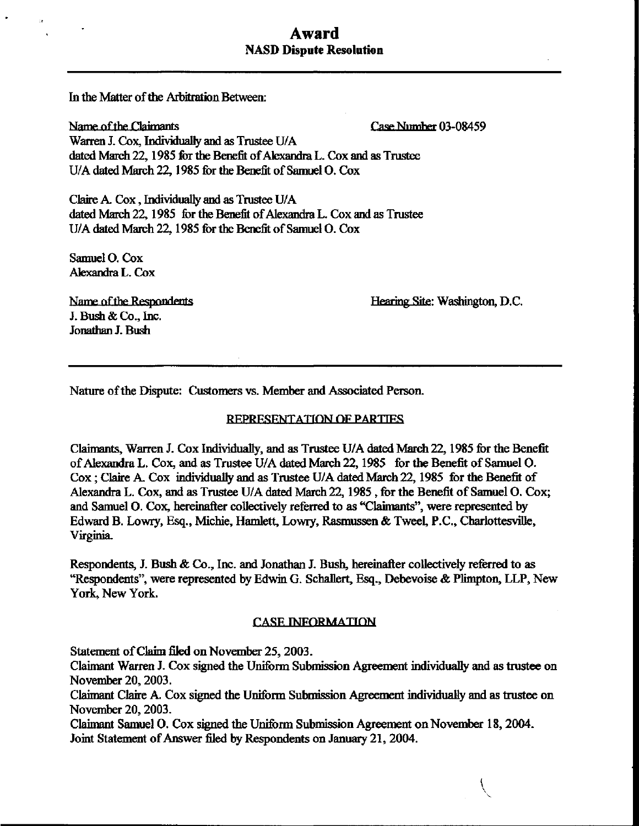# Award NASD Dispute Resolution

In the Matter of the Arbitration Between:

Name of the Claimants **Participal Pare 12 and Pare 12 and Participal Participal Participal Participal Participal Participal Participal Participal Participal Participal Participal Participal Participal Participal Participal** Warren J. Cox, Individually and as Trustee U/A dated March 22, 1985 for the Benefit of Alexandra L. Cox and as Trustee U/A dated March 22, 1985 for the Benefit of Samuel O. Cox

Claire A. Cox , Individually and as Trustee U/A dated March 22, 1985 for the Benefit of Alexandra L. Cox and as Trustee U/A dated March 22, 1985 for the Benefit of Samuel O. Cox

Samuel O. Cox Alexandra L. Cox

J. Bush & Co., Inc. Jonathan J. Bush

Name of the Respondents **Hearing Site: Washington, D.C.** 

Nature of the Dispute: Customers vs. Member and Associated Person.

### REPRESENTATION OF PARTIES

Claimants, Warren J. Cox Individually, and as Trustee U/A dated March 22,1985 for the Benefit of Alexandra L. Cox, and as Trustee U/A dated March 22,1985 for the Benefit of Samuel O. Cox; Claire A. Cox individually and as Trustee U/A dated March 22,1985 for the Benefit of Alexandra L. Cox, and as Trustee U/A dated March 22,1985 , for the Benefit of Samuel O. Cox; and Samuel O. Cox, hereinafter collectively referred to as "Claimants", were represented by Edward B. Lowry, Esq., Michie, Hamlett, Lowry, Rasmussen & Tweel, P.C., Charlottesvilfe, Virginia.

Respondents, J. Bush & Co., Inc. and Jonathan J. Bush, hereinafter collectively referred to as "Respondents", were represented by Edwin G. Schaflert, Esq., Debevoise & Plimpton, LLP, New York, New York.

#### **CASE INFORMATION**

Statement of Claim filed on November 25,2003.

Claimant Warren J. Cox signed the Uniform Submission Agreement individually and as trustee on November 20,2003.

Claimant Claire A. Cox signed the Uniform Submission Agreement individually and as trustee on November 20,2003.

Claimant Samuel O. Cox signed the Uniform Submission Agreement on November 18,2004. Joint Statement of Answer filed by Respondents on January 21, 2004.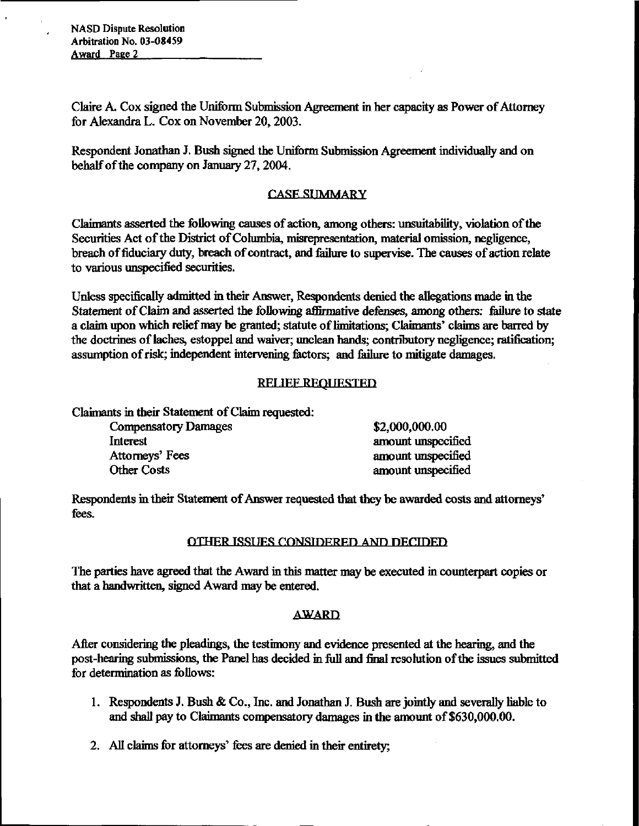NASD Dispute Resolution Arbitration No. 03-08459 Award Paee 2

Claire A. Cox signed the Uniform Submission Agreement in her capacity as Power of Attorney for Alexandra L. Cox on November 20, 2003.

Respondent Jonathan J. Bush signed the Uniform Submission Agreement individually and on behalf of the company on January 27, 2004.

## **CASE SIMMARY**

Claimants asserted the following causes of action, among others: unsvutability, violation of the Securities Act of the District of Columbia, misrepresentation, material omission, negligence, breach of fiduciary duty, breach of contract, and failure to supervise. The causes of action relate to various unspecified securities.

Unless specifically admitted in their Answer, Respondents denied the allegations made in the Statement of Claim and asserted the following affirmative defenses, among others: failure to state a claim upon which relief may be granted; statute of limitations; Claimants' claims are barred by the doctrines of laches, estoppel and waiver; unclean hands; contributory negligence; ratification; assumption of risk; independent intervening factors; and failure to mitigate damages.

## **RELIEF REQUESTED.**

Claimants in their Statement of Claim requested:

| <b>Compensatory Damages</b> | \$2,000,000.00     |
|-----------------------------|--------------------|
| Interest                    | amount unspecified |
| Attorneys' Fees             | amount unspecified |
| Other Costs                 | amount unspecified |

Respondents in their Statement of Answer requested that they be awarded costs and attorneys' fees.

## OTHER ISSUES CONSIDERED AND DECIDED

The parties have agreed that the Award in this matter may be executed in counterpart copies or that a handwritten, signed Award may be entered.

## AWARD

After considering the pleadings, the testimony and evidence presented at the hearing, and the post-hearing submissions, the Panel has decided in full and final resolution of the issues submitted for determination as follows:

- 1 . Respondents J. Bush & Co., Inc. and Jonathan J. Bush are jointly and severally liable to and shall pay to Claimants compensatory damages in the amount of \$630,000.00.
- 2. All claims for attorneys' fees are denied in their entirety;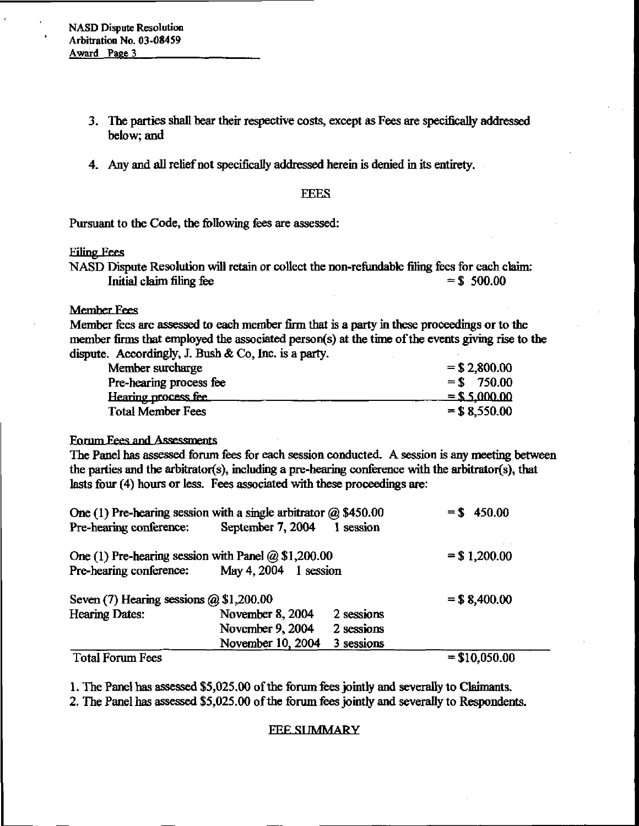NASD Dispute Resolution Arbitration No. 03-08459 Award Page 3

- 3. The parties shall bear their respective costs, except as Fees are specifically addressed below; and
- 4. Any and all relief not specifically addressed herein is denied in its entirety.

#### **FEES**

Pursuant to the Code, the following fees are assessed:

#### Filing Fees

NASD Dispute Resolution will retain or collect the non-refundable filing fees for each claim: Initial claim filing fee  $=$  \$ 500.00

## Member Fees

Member fees are assessed to each member firm that is a party in these proceedings or to the member firms that employed the associated person(s) at the time of the events giving rise to the dispute. Accordingly, J. Bush & Co, Inc. is a party.

| Member surcharge         | $=$ \$2,800.00  |
|--------------------------|-----------------|
| Pre-hearing process fee  | $=$ \$ 750.00   |
| Hearing process fee      | $=$ \$5,000,00  |
| <b>Total Member Fees</b> | $=$ \$ 8,550.00 |

### Forum Fees and Assessments

The Panel has assessed forum fees for each session conducted. A session is any meeting between the parties and the arbitrator(s), including a pre-hearing conference with the arbitrator(s), that lasts four (4) hours or less. Fees associated with these proceedings are:

| One (1) Pre-hearing session with a single arbitrator $(a)$ \$450.00 |                         |                                   | $= $450.00$     |
|---------------------------------------------------------------------|-------------------------|-----------------------------------|-----------------|
| Pre-hearing conference:                                             | September 7, 2004       | 1 session                         |                 |
| One (1) Pre-hearing session with Panel $@$ \$1,200.00               |                         | $\cdot$ $\cdot$<br>$=$ \$1,200.00 |                 |
| Pre-hearing conference:                                             | May 4, $2004$ 1 session |                                   |                 |
| Seven $(7)$ Hearing sessions $(2)$ \$1,200.00                       |                         |                                   | $=$ \$ 8,400.00 |
| <b>Hearing Dates:</b>                                               | November 8, 2004        | 2 sessions                        |                 |
|                                                                     | November 9, 2004        | 2 sessions                        |                 |
|                                                                     | November 10, 2004       | 3 sessions                        |                 |
| <b>Total Forum Fees</b>                                             |                         |                                   | $= $10,050.00$  |

1. The Panel has assessed \$5,025.00 of the forum fees jointly and severally to Claimants.

2. The Panel has assessed \$5,025.00 of the forum fees jointly and severally to Respondents.

#### **FEE SUMMARY**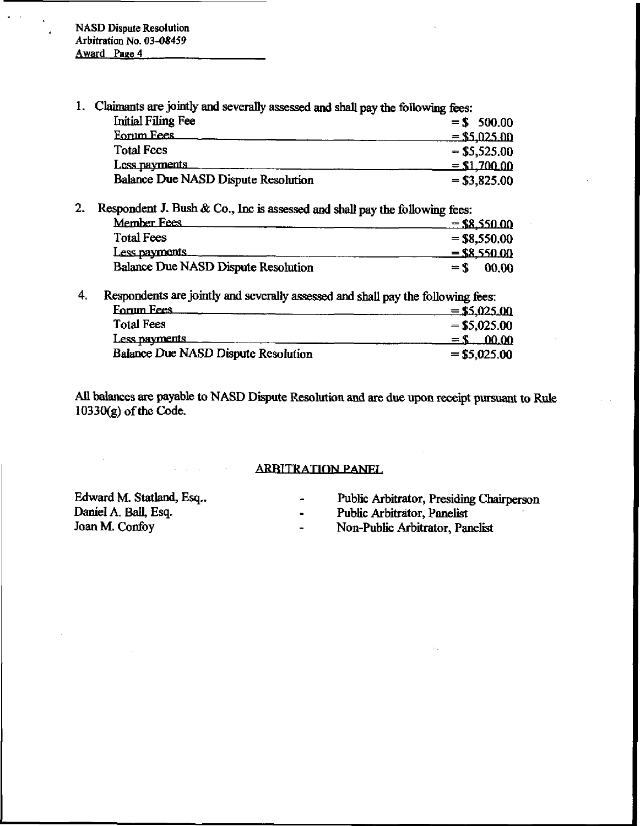1. Claimants are jointly and severally assessed and shall pay the following fees:<br>
Finitial Filing Fee<br>  $= $5,025.00$ <br>
For  $= $5,025.00$ <br>
Finitel Fees Initial Filing Fee  $= $ 500.00$ 

| Initial Filing Fee                         | $=$ \$ 500.00  |
|--------------------------------------------|----------------|
| <b>Eorum Fees</b>                          | $= $5,025.00$  |
| <b>Total Fees</b>                          | $= $5,525.00$  |
| Less payments                              | $=$ \$1,700.00 |
| <b>Balance Due NASD Dispute Resolution</b> | $= $3,825.00$  |

2. Respondent J. Bush & Co., Inc is assessed and shall pay the following fees: spondent J. Bush & Co., Inc is assessed and shall pay the following fees:<br>Member Fees<br>Total Fees<br> $=$  \$8,550.00<br> $-$  \$8,550.00 Total Fees  $= $8,550.00$ <br>Less payments  $= $8,550.00$ Member Fees<br>
Total Fees<br>  $= $8,550.00$ <br>
Less payments<br>
Balance Due NASD Dispute Resolution<br>  $= $6,550.00$ <br>  $= $8,550.00$ <br>  $= $6,550.00$ <br>  $= $6,00.00$ Balance Due NASD Dispute Resolution

4. Respondents are jointly and severally assessed and shall pay the following fees:

| Less payments                                                                    | $=$ \$8,550.00  |
|----------------------------------------------------------------------------------|-----------------|
| <b>Balance Due NASD Dispute Resolution</b>                                       | 00.00<br>$=$ \$ |
| Respondents are jointly and severally assessed and shall pay the following fees: |                 |
| <b>Eorum Fees</b>                                                                | $=$ \$5,025.00  |
| <b>Total Fees</b>                                                                | $= $5,025.00$   |
| Less payments                                                                    | $=$ \$ 00.00    |
| Balance Due NASD Dispute Resolution                                              | $=$ \$5,025.00  |

All balances are payable to NASD Dispute Resolution and are due upon receipt pursuant to Rule  $10330(g)$  of the Code.

## ARBITRATION PANEL

Edward M. Statland, Esq.. - - Public Arbitrator, Presiding Chairperson Daniel A. Ball, Esq. - - Public Arbitrator, Panelist Daniel A. Ball, Esq. - Public Arbitrator, Panelist

- 
- 
- Non-Public Arbitrator, Panelist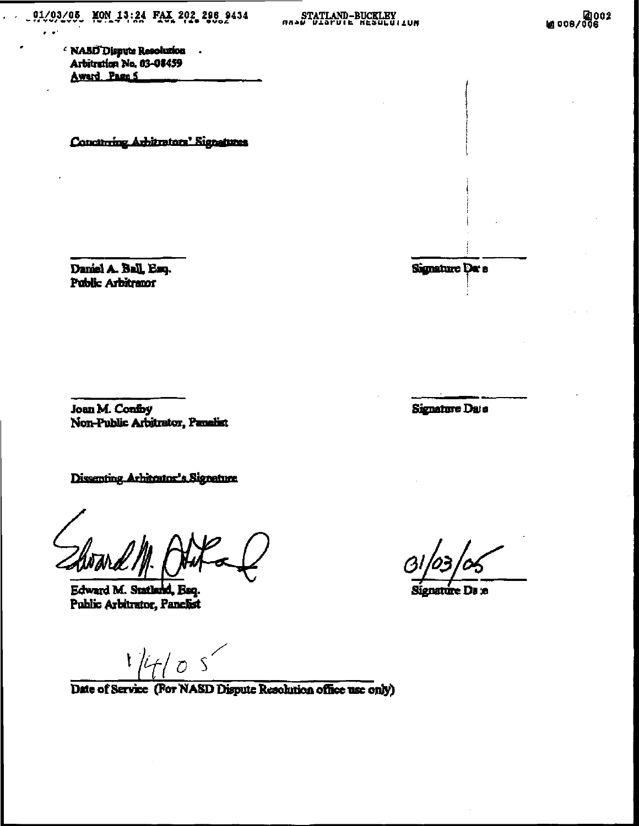STATLAND-BUCKLEY

' NABD Dispute Resolution . Arbitration No. 03-08459 Award Page 5

Concinring Arhitrators' Signatures

Daniel A. Ball, Esq. Public Arbitrator

Signature Da e

Signature Date

Joan M. Confoy Non-Public Arbitrator, Panelist

Dissenting Arhitector's Signature

Edward M. Statland, Esq. Public Arbitrator, Panelist

Date of Service (For NASD Dispute Resolution office use only)

Signature Da :e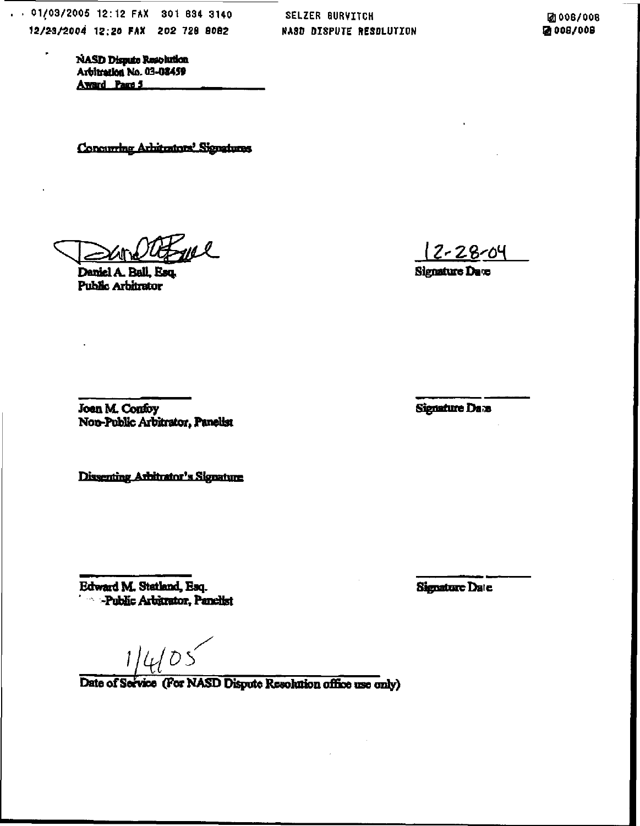. 01/03/2005 12:12 FAX 301 834 3140 12/23/2004 12:20 FAX 202 728 8082

i,

**SELZER BURVITCH** NASD DISPUTE RESOLUTION

团 006/008 2008/008

**NASD Dispute Resolution** Arbitration No. 03-08459 Award Part 5

Concurring Arhitrators' Signatures

yn 2

Daniel A. Ball, Esq. Public Arbitrator

Signature Date

<u>|2-28-04</u>

**Signature Date** 

Joan M. Confoy Non-Public Arbitrator, Panellst

Dissenting Arbitrator's Signature

Edward M. Statland, Esq.<br>' Public Arbitrator, Panellst

Date of Service (For NASD Dispute Resolution office use only)

**Signature Date**